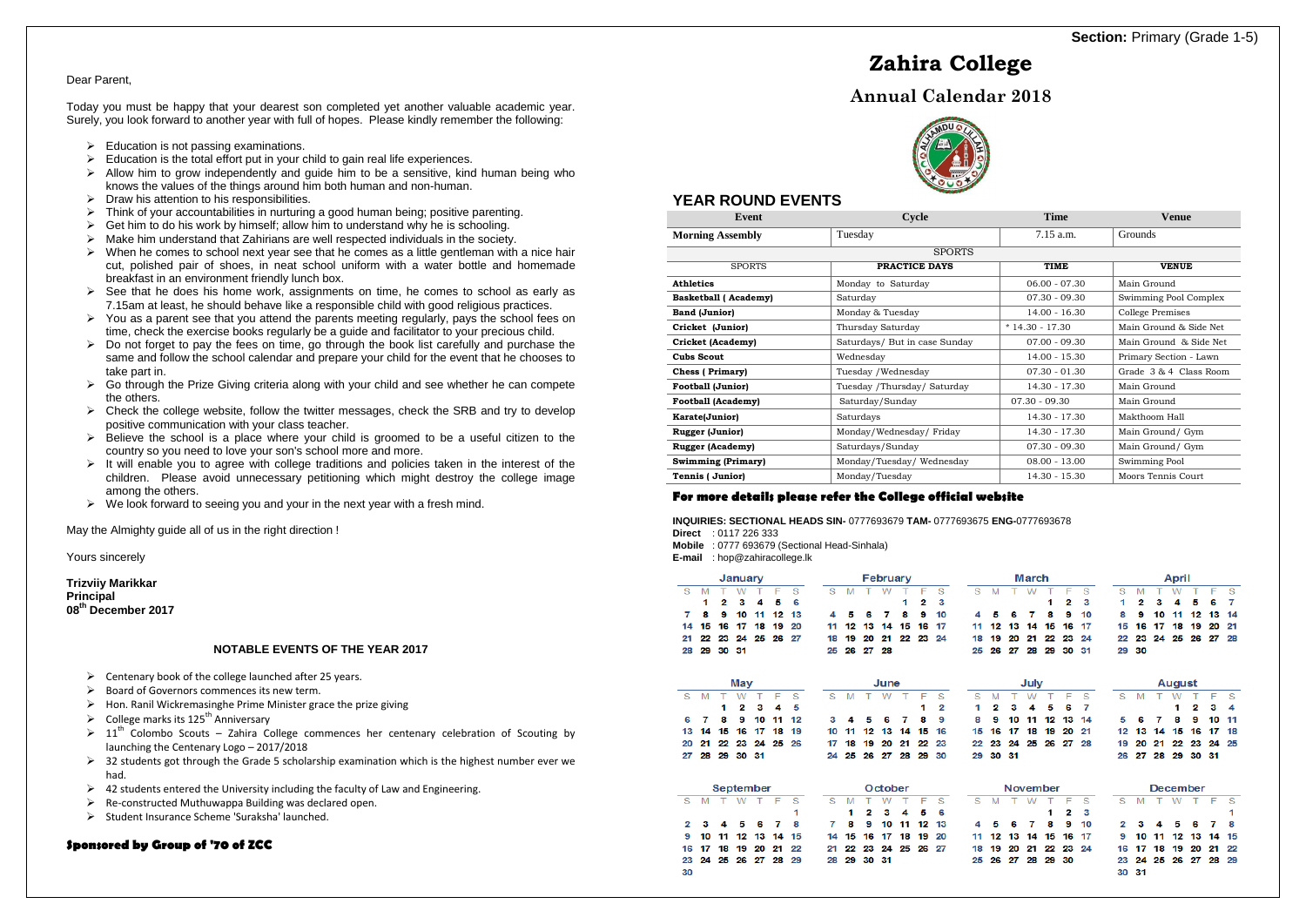# **YEAR ROUND EVENTS**

| Event                       | Cycle                         | <b>Time</b>      | <b>Venue</b>           |  |  |  |
|-----------------------------|-------------------------------|------------------|------------------------|--|--|--|
| <b>Morning Assembly</b>     | Tuesday                       | $7.15$ a.m.      | Grounds                |  |  |  |
|                             | <b>SPORTS</b>                 |                  |                        |  |  |  |
| <b>SPORTS</b>               | PRACTICE DAYS                 | <b>TIME</b>      | <b>VENUE</b>           |  |  |  |
| <b>Athletics</b>            | Monday to Saturday            | $06.00 - 07.30$  | Main Ground            |  |  |  |
| <b>Basketball</b> (Academy) | Saturday                      | $07.30 - 09.30$  | Swimming Pool Complex  |  |  |  |
| <b>Band (Junior)</b>        | Monday & Tuesday              | $14.00 - 16.30$  | College Premises       |  |  |  |
| Cricket (Junior)            | Thursday Saturday             | $*14.30 - 17.30$ | Main Ground & Side Net |  |  |  |
| Cricket (Academy)           | Saturdays/ But in case Sunday | $07.00 - 09.30$  | Main Ground & Side Net |  |  |  |
| <b>Cubs Scout</b>           | Wednesday                     | $14.00 - 15.30$  | Primary Section - Lawn |  |  |  |
| <b>Chess</b> (Primary)      | Tuesday / Wednesday           | $07.30 - 01.30$  | Grade 3 & 4 Class Room |  |  |  |
| <b>Football (Junior)</b>    | Tuesday /Thursday/ Saturday   | 14.30 - 17.30    | Main Ground            |  |  |  |
| <b>Football (Academy)</b>   | Saturday/Sunday               | $07.30 - 09.30$  | Main Ground            |  |  |  |
| Karate(Junior)              | Saturdays                     | 14.30 - 17.30    | Makthoom Hall          |  |  |  |
| <b>Rugger (Junior)</b>      | Monday/Wednesday/Friday       | 14.30 - 17.30    | Main Ground/ Gym       |  |  |  |
| <b>Rugger (Academy)</b>     | Saturdays/Sunday              | $07.30 - 09.30$  | Main Ground/ Gym       |  |  |  |
| <b>Swimming (Primary)</b>   | Monday/Tuesday/Wednesday      | $08.00 - 13.00$  | Swimming Pool          |  |  |  |
| Tennis (Junior)             | Monday/Tuesday                | $14.30 - 15.30$  | Moors Tennis Court     |  |  |  |

# **For more details please refer the College official website**

**INQUIRIES: SECTIONAL HEADS SIN-** 0777693679 **TAM-** 0777693675 **ENG-**0777693678 **Direct** : 0117 226 333

**Mobile** : 0777 693679 (Sectional Head-Sinhala)

| <b>E-mail</b> : hop@zahiracollege.lk |  |
|--------------------------------------|--|
|                                      |  |

|          |    |    | January |           |    |    |    |    |    |         | February |    |    |    | March |                 |      |    |     |     |    |        | April    |    |    |      |    |  |  |  |  |
|----------|----|----|---------|-----------|----|----|----|----|----|---------|----------|----|----|----|-------|-----------------|------|----|-----|-----|----|--------|----------|----|----|------|----|--|--|--|--|
| <b>S</b> | M  |    | w       |           | F  | s  | s  | M  |    | w       |          | F  | s  | s  | M     |                 | W    |    | F   | s   | S  | M      |          | W  |    | F    | s  |  |  |  |  |
|          | 1  | 2  | з       | 4         | 5  | 6  |    |    |    |         | 1        | 2  | з  |    |       |                 |      | 1  | 2   | 3   | 1  | 2      | з        | 4  | 5  | 6    | 7  |  |  |  |  |
| 7        | 8  | 9  | 10      | 11        | 12 | 13 | 4  | 5  | 6  |         | 8        | 9  | 10 | 4  | к     | 6               | 7    | 8  | 9   | 10  | 8  | 9      | 10       | 11 | 12 | 13   | 14 |  |  |  |  |
| 14       | 15 | 16 | 17      | 18        | 19 | 20 | 11 | 12 | 13 | 14      | 15       | 16 | 17 | 11 | 12    | 13              | 14   | 15 | 16  | 17  | 15 | 16     | 17       | 18 | 19 | 20   | 21 |  |  |  |  |
| 21       | 22 | 23 | 24      | 25        | 26 | 27 | 18 | 19 | 20 | 21      | 22       | 23 | 24 | 18 | 19    | 20              | 21   | 22 | 23  | 24  | 22 | 23     | 24       | 25 | 26 | 27   | 28 |  |  |  |  |
| 28       | 29 | 30 | -31     |           |    |    | 25 | 26 | 27 | 28      |          |    |    | 25 | 26    | 27              | 28   | 29 | 30  | -31 | 29 | -30    |          |    |    |      |    |  |  |  |  |
|          |    |    |         |           |    |    |    |    |    |         |          |    |    |    |       |                 |      |    |     |     |    |        |          |    |    |      |    |  |  |  |  |
|          |    |    | May     |           |    |    |    |    |    | June    |          |    |    |    |       |                 | July |    |     |     |    | August |          |    |    |      |    |  |  |  |  |
| S        | M  |    | W       |           | F  | S  | s  | M  |    | W       |          | F  | s  | s  | M     |                 | W    |    | F   | S   | s  | M      |          | W  |    | F    | s  |  |  |  |  |
|          |    | 1  | 2       | 3         | 4  | 5  |    |    |    |         |          | 1  | 2  | 1  | 2     | 3               | 4    | 5  | 6   | 7   |    |        |          | 1  | 2  | з    | 4  |  |  |  |  |
| 6        | 7  | 8  | 9       | 10        | 11 | 12 | 3  | 4  | Б  | 6       | 7        | 8  | 9  | 8  | 9     | 10              | 11   | 12 | 13  | 14  | 5  | 6      | 7        | 8  | 9  | 10   | 11 |  |  |  |  |
| 13       | 14 | 15 | 16      | 17        | 18 | 19 | 10 | 11 | 12 | 13      | 14       | 15 | 16 | 15 | 16    | 17              | 18   | 19 | 20  | 21  | 12 | 13     | 14       | 15 | 16 | 17   | 18 |  |  |  |  |
| 20       | 21 | 22 | 23      | 24        | 25 | 26 | 17 | 18 | 19 | 20      | 21       | 22 | 23 | 22 | 23    | 24              | 25   | 26 | 27  | 28  | 19 | 20     | 21       | 22 | 23 | 24   | 25 |  |  |  |  |
| 27       | 28 | 29 | 30      | -31       |    |    | 24 | 25 | 26 | 27      | 28       | 29 | 30 | 29 | 30    | -31             |      |    |     |     | 26 | 27     | 28       | 29 | 30 | -31  |    |  |  |  |  |
|          |    |    |         |           |    |    |    |    |    |         |          |    |    |    |       |                 |      |    |     |     |    |        |          |    |    |      |    |  |  |  |  |
|          |    |    |         | September |    |    |    |    |    | October |          |    |    |    |       | <b>November</b> |      |    |     |     |    |        | December |    |    |      |    |  |  |  |  |
| s        | M  | т  | w       | т         | -F | S  | s  | M  | т  | w       |          | F  | S  | S  | M     |                 | W    | т  | F   | S   | S  | M      | т        | W  | т  | $-F$ | -S |  |  |  |  |
|          |    |    |         |           |    | 1  |    | 1  | 2  | з       | 4        | 5  | 6  |    |       |                 |      | 1  | 2   | 3   |    |        |          |    |    |      | 1  |  |  |  |  |
| 2        | з  | л  | 5       | 6         | 7  | 8  | 7  | 8  | 9  | 10      | 11       | 12 | 13 | 4  | 5     | 6               | 7    | 8  | 9   | 10  | 2  | з      |          | Б  | 6  | 7    | 8  |  |  |  |  |
| 9        | 10 | 11 | 12      | 13        | 14 | 15 | 14 | 15 | 16 | 17      | 18       | 19 | 20 | 11 | 12    | 13              | 14   | 15 | 16  | 17  | 9  | 10     | 11       | 12 | 13 | 14   | 15 |  |  |  |  |
| 16       | 17 | 18 | 19      | 20        | 21 | 22 | 21 | 22 | 23 | 24      | 25       | 26 | 27 | 18 | 19    | 20              | 21   | 22 | 23  | 24  | 16 | 17     | 18       | 19 | 20 | 21   | 22 |  |  |  |  |
| 23       | 24 | 25 | 26      | 27        | 28 | 29 | 28 | 29 | 30 | -31     |          |    |    | 25 | 26    | 27              | 28   | 29 | -30 |     | 23 | 24     | 25       | 26 | 27 | 28   | 29 |  |  |  |  |
| 30       |    |    |         |           |    |    |    |    |    |         |          |    |    |    |       |                 |      |    |     |     | 30 | -31    |          |    |    |      |    |  |  |  |  |
|          |    |    |         |           |    |    |    |    |    |         |          |    |    |    |       |                 |      |    |     |     |    |        |          |    |    |      |    |  |  |  |  |

|                      | <b>Mav</b>                      |  |  |               |  |                      |  |            |    |    |
|----------------------|---------------------------------|--|--|---------------|--|----------------------|--|------------|----|----|
| S M T W T F S        |                                 |  |  | S M T W T F S |  |                      |  |            | -3 |    |
|                      | $1\quad 2\quad 3\quad 4\quad 5$ |  |  |               |  |                      |  | $1\quad 2$ |    | ł, |
| 6 7 8 9 10 11 12     |                                 |  |  |               |  | 3 4 5 6 7 8 9        |  |            |    |    |
| 13 14 15 16 17 18 19 |                                 |  |  |               |  | 10 11 12 13 14 15 16 |  |            | 1  |    |
| 20 21 22 23 24 25 26 |                                 |  |  |               |  | 17 18 19 20 21 22 23 |  |            | 2  |    |
| 27 28 29 30 31       |                                 |  |  |               |  | 24 25 26 27 28 29 30 |  |            | 2  |    |

|       |     |    | January   |     |    |    |    |    |    |         | February |    |    |    | March |     |                 |    |    |    |    | April           |        |    |    |     |    |  |  |  |
|-------|-----|----|-----------|-----|----|----|----|----|----|---------|----------|----|----|----|-------|-----|-----------------|----|----|----|----|-----------------|--------|----|----|-----|----|--|--|--|
| S     | M   |    | W         |     | F  | S  | S  | M  |    | W       |          | F  | s  | s  | M     |     | W               |    | F  | s  | s  | M               |        | W  |    | F   | S  |  |  |  |
|       | 1   | 2  | з         | 4   | 5  | 6  |    |    |    |         | 1        | 2  | з  |    |       |     |                 | 1  | 2  | 3  | 1  | 2               | з      | 4  | 5  | 6   | 7  |  |  |  |
| 7     | 8   | 9  | 10        | 11  | 12 | 13 | 4  |    | 6  |         | 8        | 9  | 10 | 4  | 5     | б   |                 | 8  | 9  | 10 | 8  | 9               | 10     | 11 | 12 | 13  | 14 |  |  |  |
| 14    | 15  | 16 | 17        | 18  | 19 | 20 | 11 | 12 | 13 | 14      | 15       | 16 | 17 | 11 | 12    | 13  | 14              | 15 | 16 | 17 | 15 | 16              | 17     | 18 | 19 | 20  | 21 |  |  |  |
| 21    | 22  | 23 | 24        | 25  | 26 | 27 | 18 | 19 | 20 | 21      | 22       | 23 | 24 | 18 | 19    | 20  | 21              | 22 | 23 | 24 | 22 | 23              | 24.    | 25 | 26 | 27  | 28 |  |  |  |
| 28 29 |     | 30 | -31       |     |    |    | 25 | 26 | 27 | 28      |          |    |    | 25 | 26    | 27  | 28              | 29 | 30 | 31 | 29 | 30              |        |    |    |     |    |  |  |  |
|       |     |    | May       |     |    |    |    |    |    | June    |          |    |    |    | July  |     |                 |    |    |    |    | August          |        |    |    |     |    |  |  |  |
| S     | M   |    | W         |     | F  | S  | S  | M  |    | W       | т        | F  | S  | S  | M     |     | W               |    | F  | S  | S  | M               |        | W  |    | F   | s  |  |  |  |
|       |     | 1  | 2         | 3   | 4  | 5  |    |    |    |         |          | 1  | 2  | 1  | 2     | 3   |                 | 5  | 6  | 7  |    |                 |        | 1  | 2  | з   | 4  |  |  |  |
| 6     | 7   | 8  | 9         | 10  | 11 | 12 | 3  |    | 5  | 6       | 7        | 8  | 9  | 8  | 9     | 10  | 11              | 12 | 13 | 14 | 5  | 6               |        | 8  | 9  | 10  | 11 |  |  |  |
| 13    | 14  | 15 | 16        | 17  | 18 | 19 | 10 | 11 | 12 | 13      | 14       | 15 | 16 | 15 | 16    | 17  | 18              | 19 | 20 | 21 | 12 | 13              | 14     | 15 | 16 | 17  | 18 |  |  |  |
| 20    | 21  | 22 | 23        | 24  | 25 | 26 | 17 | 18 | 19 | 20      | 21       | 22 | 23 | 22 | 23    | 24  | 25              | 26 | 27 | 28 | 19 | 20              | 21     | 22 | 23 | 24  | 25 |  |  |  |
| 27    | 28  | 29 | 30        | -31 |    |    | 24 | 25 | 26 | 27      | 28       | 29 | 30 | 29 | 30    | -31 |                 |    |    |    | 26 | 27              | 28     | 29 | 30 | -31 |    |  |  |  |
|       |     |    | September |     |    |    |    |    |    | October |          |    |    |    |       |     | <b>November</b> |    |    |    |    | <b>December</b> |        |    |    |     |    |  |  |  |
| S     | M   | т  | W         | т   | F  | S  | S  | M  |    | w       |          | F  | S  | S  | M     | т   | W               | т  | F  | S  | S  | M               | $\top$ | W  | T  | -Ē  | -S |  |  |  |
|       |     |    |           |     |    | 1  |    | 1  | 2  | з       | 4        | Б  | 6  |    |       |     |                 | 1  | 2  | з  |    |                 |        |    |    |     | 1  |  |  |  |
| 2     | з   | 4  | 5         | G   | 7  | 8  | 7  | 8  | 9  | 10      | 11       | 12 | 13 | 4  | 5     | 6   | 7               | 8  | 9  | 10 | 2  | 3               |        | Б  | 6  | 7   | 8  |  |  |  |
| 9     | 10  | 11 | 12        | 13  | 14 | 15 | 14 | 15 | 16 | 17      | 18       | 19 | 20 | 11 | 12    | 13  | 14              | 15 | 16 | 17 | 9  | 10              | 11     | 12 | 13 | 14  | 15 |  |  |  |
| 16    | -17 | 18 | 19        | 20  | 21 | 22 | 21 | 22 | 23 | 24      | 25       | 26 | 27 | 18 | 19    | 20  | 21              | 22 | 23 | 24 | 16 | 17              | 18     | 19 | 20 | 21  | 22 |  |  |  |
| 23    | 24  | 25 | 26        | 27  | 28 | 29 | 28 | 29 | 30 | 31      |          |    |    | 25 | 26    | 27  | 28              | 29 | 30 |    | 23 | 24              | 25     | 26 | 27 | 28  | 29 |  |  |  |
| 30    |     |    |           |     |    |    |    |    |    |         |          |    |    |    |       |     |                 |    |    |    | 30 | 31              |        |    |    |     |    |  |  |  |
|       |     |    |           |     |    |    |    |    |    |         |          |    |    |    |       |     |                 |    |    |    |    |                 |        |    |    |     |    |  |  |  |

# **Zahira College**

# **Annual Calendar 2018**



Dear Parent,

Today you must be happy that your dearest son completed yet another valuable academic year. Surely, you look forward to another year with full of hopes. Please kindly remember the following:

- $\triangleright$  Education is not passing examinations.
- $\triangleright$  Education is the total effort put in your child to gain real life experiences.
- $\triangleright$  Allow him to grow independently and guide him to be a sensitive, kind human being who knows the values of the things around him both human and non-human.
- $\triangleright$  Draw his attention to his responsibilities.
- $\triangleright$  Think of your accountabilities in nurturing a good human being; positive parenting.
- $\triangleright$  Get him to do his work by himself; allow him to understand why he is schooling.
- $\triangleright$  Make him understand that Zahirians are well respected individuals in the society.
- $\triangleright$  When he comes to school next year see that he comes as a little gentleman with a nice hair cut, polished pair of shoes, in neat school uniform with a water bottle and homemade breakfast in an environment friendly lunch box.
- $\triangleright$  See that he does his home work, assignments on time, he comes to school as early as 7.15am at least, he should behave like a responsible child with good religious practices.
- $\triangleright$  You as a parent see that you attend the parents meeting regularly, pays the school fees on time, check the exercise books regularly be a guide and facilitator to your precious child.
- $\triangleright$  Do not forget to pay the fees on time, go through the book list carefully and purchase the same and follow the school calendar and prepare your child for the event that he chooses to take part in.
- $\triangleright$  Go through the Prize Giving criteria along with your child and see whether he can compete the others.
- $\triangleright$  Check the college website, follow the twitter messages, check the SRB and try to develop positive communication with your class teacher.
- $\triangleright$  Believe the school is a place where your child is groomed to be a useful citizen to the country so you need to love your son's school more and more.
- $\triangleright$  It will enable you to agree with college traditions and policies taken in the interest of the children. Please avoid unnecessary petitioning which might destroy the college image among the others.
- $\triangleright$  We look forward to seeing you and your in the next year with a fresh mind.

May the Almighty guide all of us in the right direction !

Yours sincerely

**Trizviiy Marikkar Principal 08th December 2017** 

## **NOTABLE EVENTS OF THE YEAR 2017**

- $\triangleright$  Centenary book of the college launched after 25 years.
- $\triangleright$  Board of Governors commences its new term.
- $\triangleright$  Hon. Ranil Wickremasinghe Prime Minister grace the prize giving
- $\triangleright$  College marks its 125<sup>th</sup> Anniversary
- $\geq 11^{th}$  Colombo Scouts Zahira College commences her centenary celebration of Scouting by launching the Centenary Logo – 2017/2018
- $\geq$  32 students got through the Grade 5 scholarship examination which is the highest number ever we had.
- $\triangleright$  42 students entered the University including the faculty of Law and Engineering.
- $\triangleright$  Re-constructed Muthuwappa Building was declared open.
- $\triangleright$  Student Insurance Scheme 'Suraksha' launched.

# **Sponsored by Group of '70 of ZCC**

# **Section: Primary (Grade 1-5)**